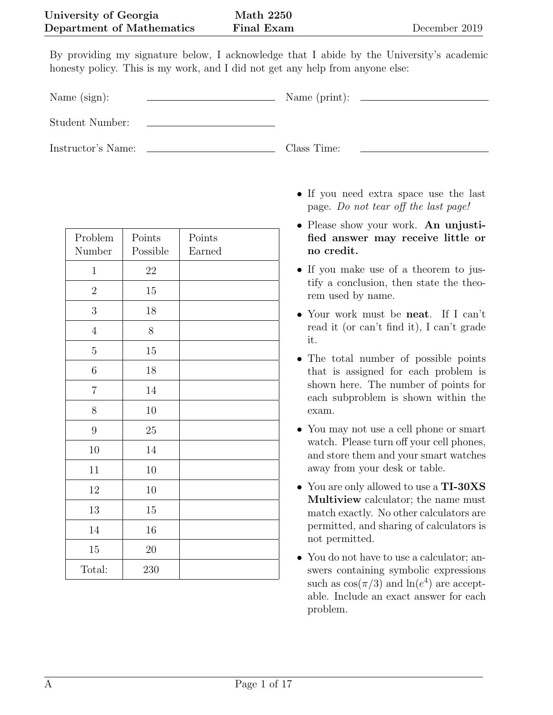By providing my signature below, I acknowledge that I abide by the University's academic honesty policy. This is my work, and I did not get any help from anyone else:

Name (sign): Name (print):

Student Number:

Instructor's Name: Class Time:

| Problem<br>Number | Points<br>Possible | Points<br>Earned |
|-------------------|--------------------|------------------|
| $\mathbf 1$       | $22\,$             |                  |
| $\overline{2}$    | $15\,$             |                  |
| 3                 | $18\,$             |                  |
| $\sqrt{4}$        | $8\,$              |                  |
| $\overline{5}$    | $15\,$             |                  |
| $\!6\,$           | $18\,$             |                  |
| $\overline{7}$    | $14\,$             |                  |
| 8                 | 10                 |                  |
| $9\,$             | $25\,$             |                  |
| 10                | 14                 |                  |
| 11                | 10                 |                  |
| 12                | 10                 |                  |
| $13\,$            | $15\,$             |                  |
| $14\,$            | $16\,$             |                  |
| $15\,$            | $20\,$             |                  |
| Total:            | 230                |                  |

- If you need extra space use the last page. Do not tear off the last page!
- Please show your work. An unjustified answer may receive little or no credit.
- If you make use of a theorem to justify a conclusion, then state the theorem used by name.
- Your work must be neat. If I can't read it (or can't find it), I can't grade it.
- The total number of possible points that is assigned for each problem is shown here. The number of points for each subproblem is shown within the exam.
- You may not use a cell phone or smart watch. Please turn off your cell phones, and store them and your smart watches away from your desk or table.
- You are only allowed to use a TI-30XS Multiview calculator; the name must match exactly. No other calculators are permitted, and sharing of calculators is not permitted.
- You do not have to use a calculator; answers containing symbolic expressions such as  $\cos(\pi/3)$  and  $\ln(e^4)$  are acceptable. Include an exact answer for each problem.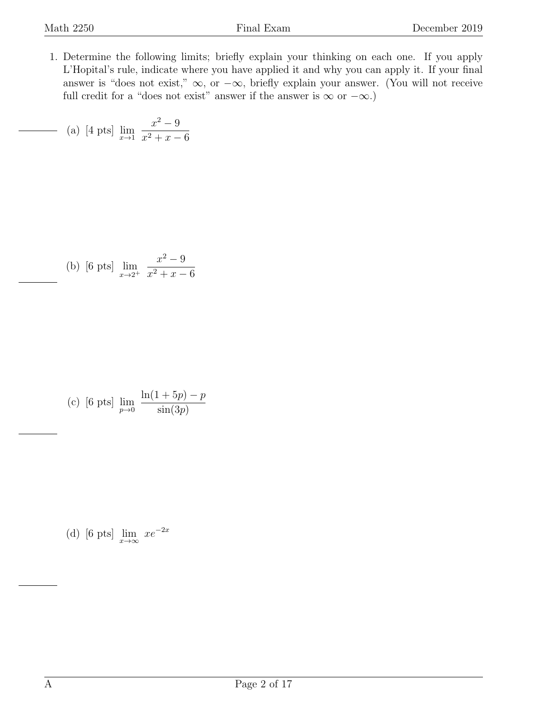<span id="page-1-0"></span>1. Determine the following limits; briefly explain your thinking on each one. If you apply L'Hopital's rule, indicate where you have applied it and why you can apply it. If your final answer is "does not exist,"  $\infty$ , or  $-\infty$ , briefly explain your answer. (You will not receive full credit for a "does not exist" answer if the answer is  $\infty$  or  $-\infty$ .)

(a) [4 pts] 
$$
\lim_{x \to 1} \frac{x^2 - 9}{x^2 + x - 6}
$$

(b) [6 pts] 
$$
\lim_{x \to 2^+} \frac{x^2 - 9}{x^2 + x - 6}
$$

(c) [6 pts] 
$$
\lim_{p \to 0} \frac{\ln(1 + 5p) - p}{\sin(3p)}
$$

(d) [6 pts]  $\lim_{x \to \infty} xe^{-2x}$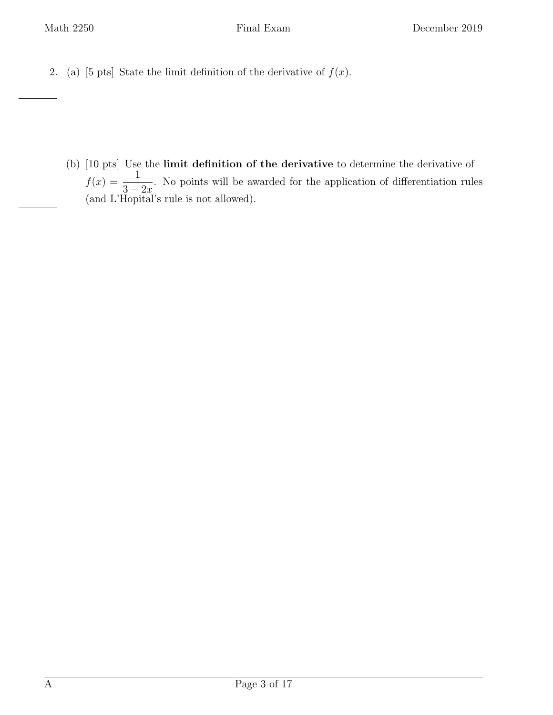<span id="page-2-0"></span>2. (a) [5 pts] State the limit definition of the derivative of  $f(x)$ .

(b) [10 pts] Use the *limit definition of the derivative* to determine the derivative of  $f(x) = \frac{1}{2}$  $3 - 2x$ . No points will be awarded for the application of differentiation rules (and L'Hopital's rule is not allowed).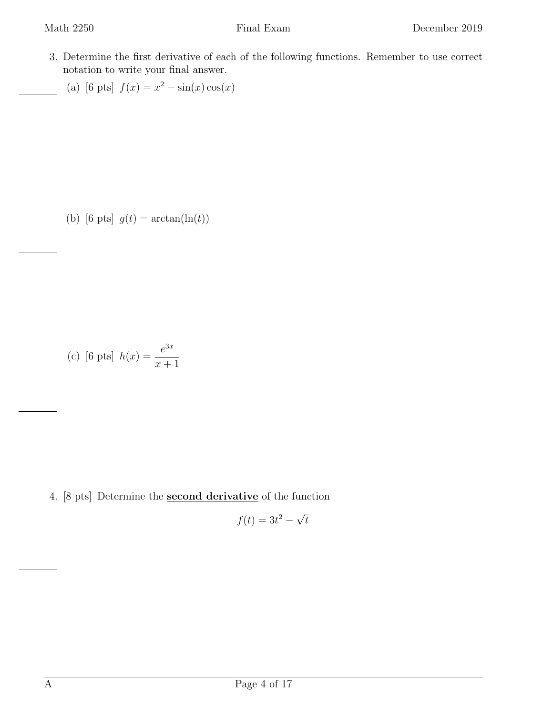<span id="page-3-0"></span>3. Determine the first derivative of each of the following functions. Remember to use correct notation to write your final answer.

(a) [6 pts]  $f(x) = x^2 - \sin(x)\cos(x)$ 

(b) [6 pts]  $g(t) = \arctan(\ln(t))$ 

(c) [6 pts] 
$$
h(x) = \frac{e^{3x}}{x+1}
$$

<span id="page-3-1"></span>4. [8 pts] Determine the second derivative of the function

$$
f(t) = 3t^2 - \sqrt{t}
$$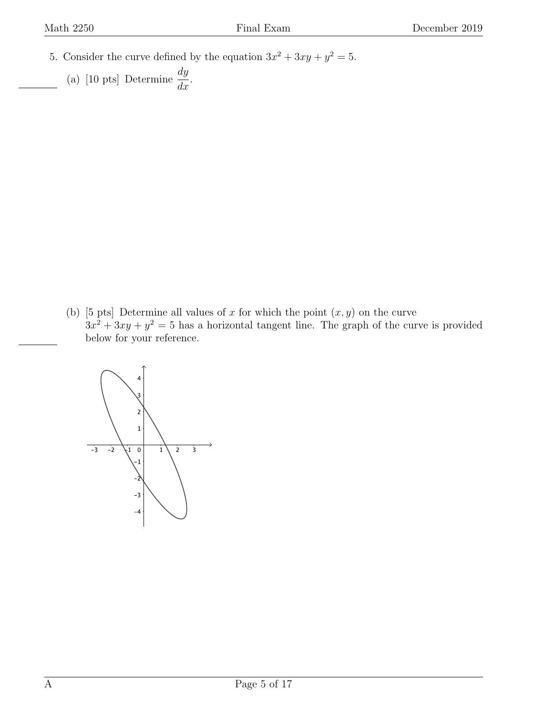- <span id="page-4-0"></span>5. Consider the curve defined by the equation  $3x^2 + 3xy + y^2 = 5$ .
	- (a) [10 pts] Determine  $\frac{dy}{dx}$  $\frac{dy}{dx}$ .

(b) [5 pts] Determine all values of x for which the point  $(x, y)$  on the curve  $3x^2 + 3xy + y^2 = 5$  has a horizontal tangent line. The graph of the curve is provided below for your reference.

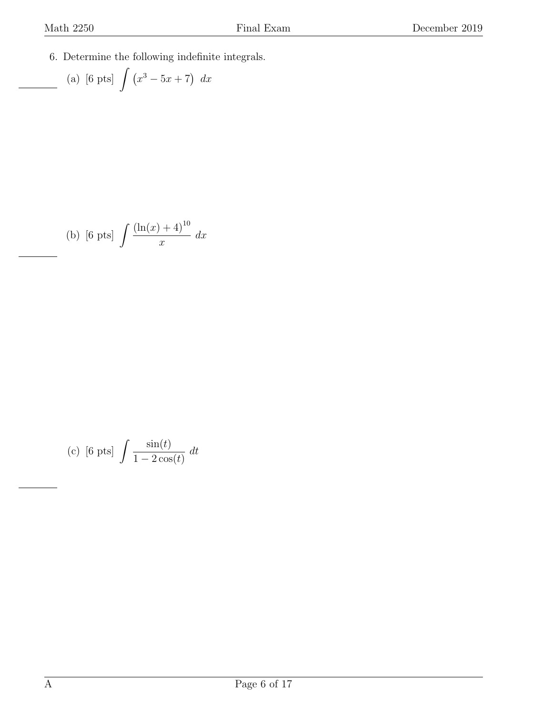<span id="page-5-0"></span>6. Determine the following indefinite integrals.

(a) [6 pts] 
$$
\int (x^3 - 5x + 7) dx
$$

(b) [6 pts] 
$$
\int \frac{(\ln(x) + 4)^{10}}{x} dx
$$

(c) [6 pts] 
$$
\int \frac{\sin(t)}{1 - 2\cos(t)} dt
$$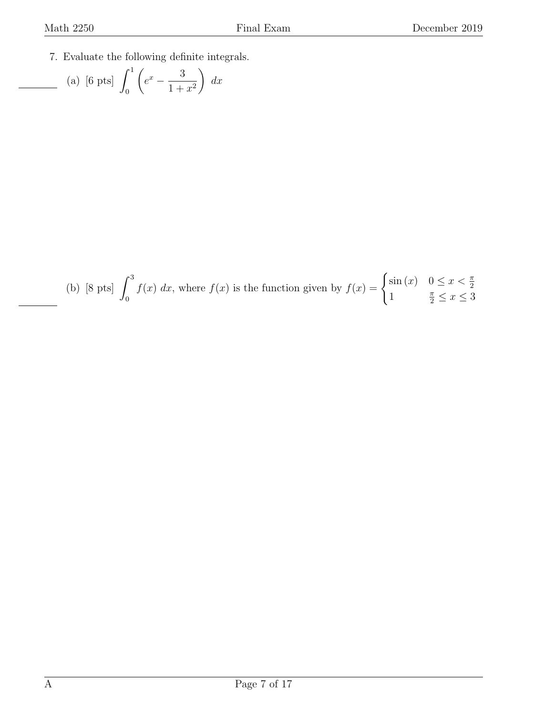<span id="page-6-0"></span>7. Evaluate the following definite integrals.

(a) [6 pts] 
$$
\int_0^1 \left( e^x - \frac{3}{1+x^2} \right) dx
$$

(b) [8 pts] 
$$
\int_0^3 f(x) dx
$$
, where  $f(x)$  is the function given by  $f(x) = \begin{cases} \sin(x) & 0 \le x < \frac{\pi}{2} \\ 1 & \frac{\pi}{2} \le x \le 3 \end{cases}$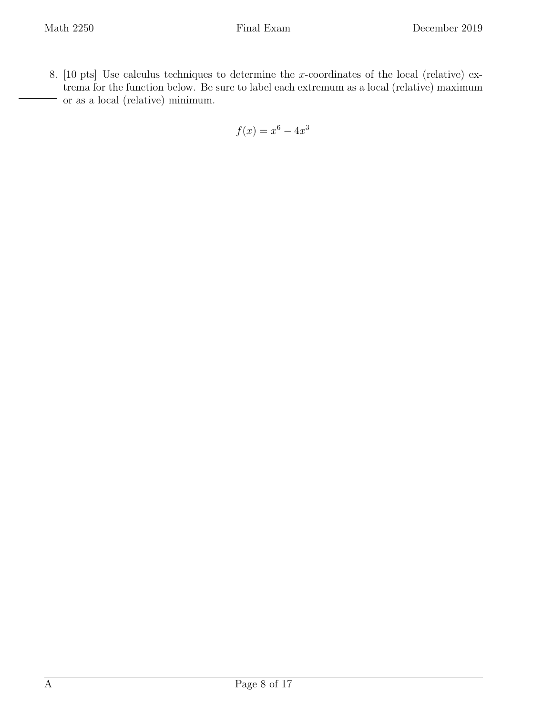<span id="page-7-0"></span>8. [10 pts] Use calculus techniques to determine the x-coordinates of the local (relative) extrema for the function below. Be sure to label each extremum as a local (relative) maximum or as a local (relative) minimum.

$$
f(x) = x^6 - 4x^3
$$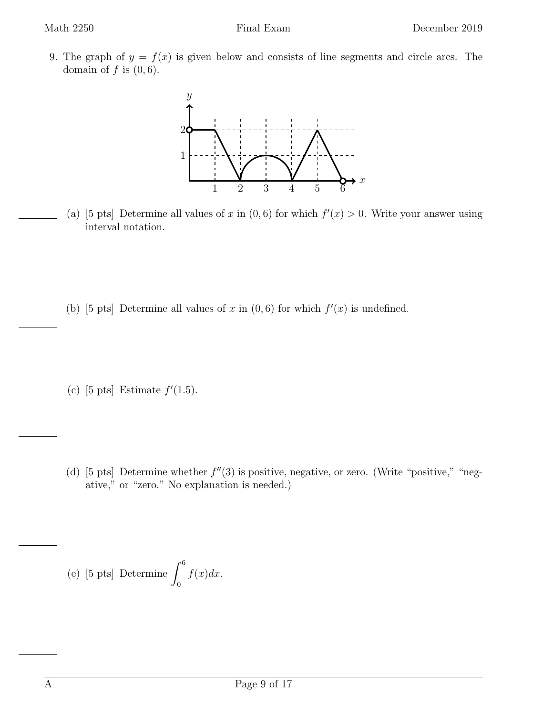<span id="page-8-0"></span>9. The graph of  $y = f(x)$  is given below and consists of line segments and circle arcs. The domain of  $f$  is  $(0, 6)$ .



- (a) [5 pts] Determine all values of x in  $(0,6)$  for which  $f'(x) > 0$ . Write your answer using interval notation.
- (b) [5 pts] Determine all values of x in  $(0,6)$  for which  $f'(x)$  is undefined.
- (c) [5 pts] Estimate  $f'(1.5)$ .
- (d) [5 pts] Determine whether  $f''(3)$  is positive, negative, or zero. (Write "positive," "negative," or "zero." No explanation is needed.)

(e) [5 pts] Determine 
$$
\int_0^6 f(x) dx
$$
.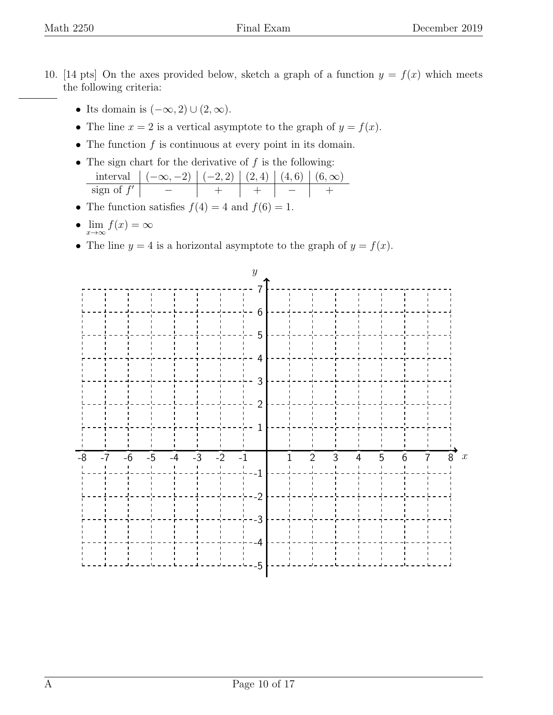- <span id="page-9-0"></span>10. [14 pts] On the axes provided below, sketch a graph of a function  $y = f(x)$  which meets the following criteria:
	- Its domain is  $(-\infty, 2) \cup (2, \infty)$ .
	- The line  $x = 2$  is a vertical asymptote to the graph of  $y = f(x)$ .
	- The function  $f$  is continuous at every point in its domain.
	- The sign chart for the derivative of  $f$  is the following: interval  $|(-\infty, -2) | (-2, 2) | (2, 4) | (4, 6) | (6, ∞)$  $sign of f'$  $0 - 1 + 1 + - 1 +$
	- The function satisfies  $f(4) = 4$  and  $f(6) = 1$ .
	- $\lim_{x \to \infty} f(x) = \infty$
	- The line  $y = 4$  is a horizontal asymptote to the graph of  $y = f(x)$ .

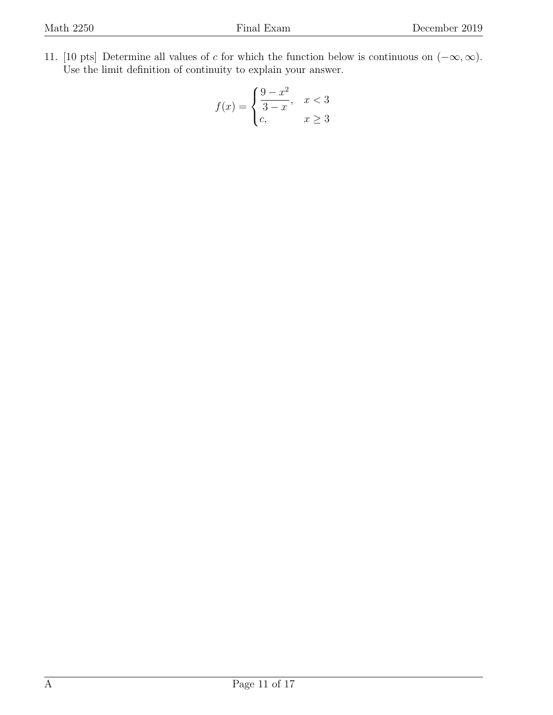<span id="page-10-0"></span>11. [10 pts] Determine all values of c for which the function below is continuous on  $(-\infty, \infty)$ . Use the limit definition of continuity to explain your answer.

$$
f(x) = \begin{cases} \frac{9-x^2}{3-x}, & x < 3\\ c, & x \ge 3 \end{cases}
$$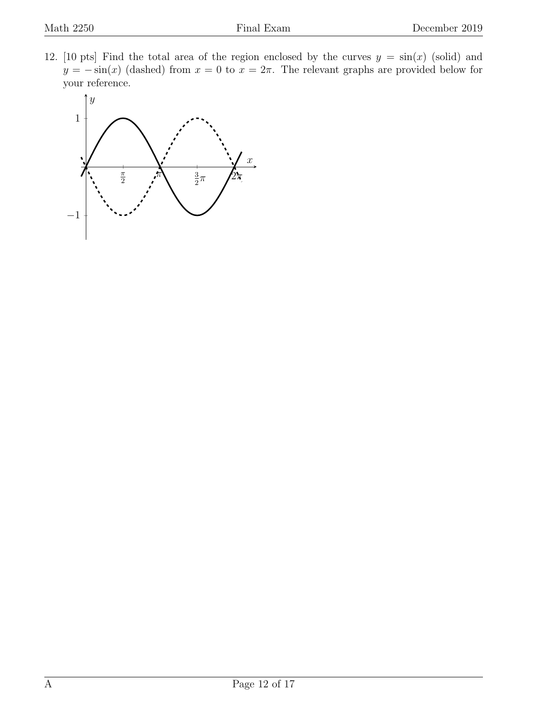<span id="page-11-0"></span>12. [10 pts] Find the total area of the region enclosed by the curves  $y = sin(x)$  (solid) and  $y = -\sin(x)$  (dashed) from  $x = 0$  to  $x = 2\pi$ . The relevant graphs are provided below for your reference.

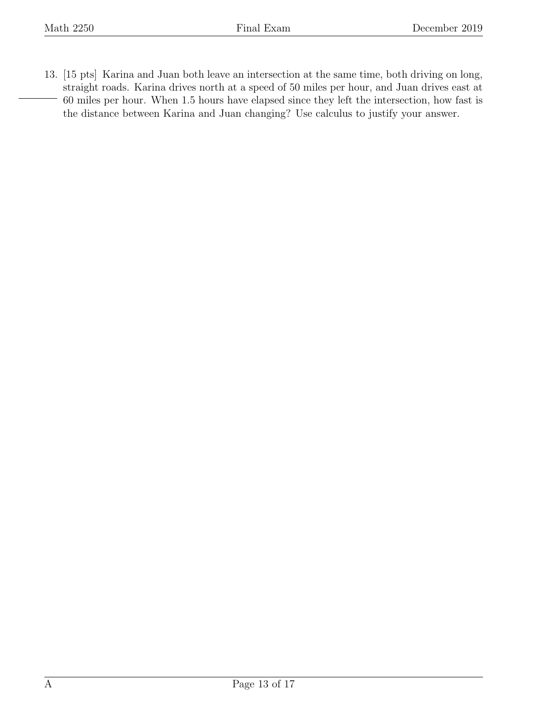<span id="page-12-0"></span>13. [15 pts] Karina and Juan both leave an intersection at the same time, both driving on long, straight roads. Karina drives north at a speed of 50 miles per hour, and Juan drives east at 60 miles per hour. When 1.5 hours have elapsed since they left the intersection, how fast is the distance between Karina and Juan changing? Use calculus to justify your answer.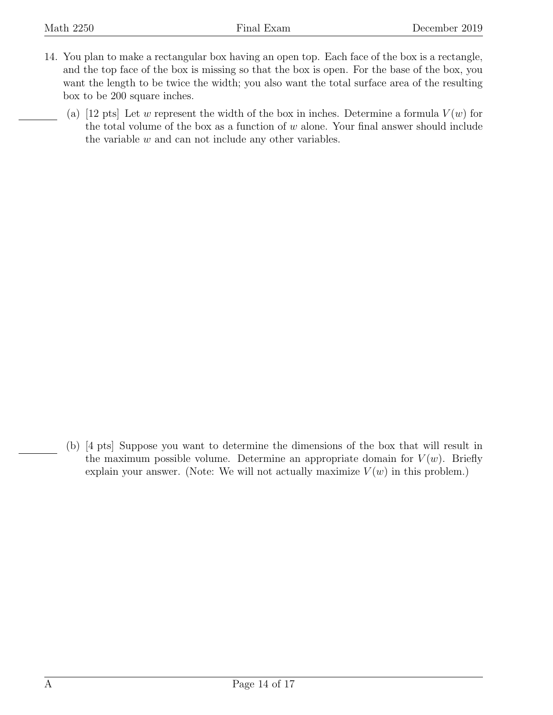- <span id="page-13-0"></span>14. You plan to make a rectangular box having an open top. Each face of the box is a rectangle, and the top face of the box is missing so that the box is open. For the base of the box, you want the length to be twice the width; you also want the total surface area of the resulting box to be 200 square inches.
	- (a) [12 pts] Let w represent the width of the box in inches. Determine a formula  $V(w)$  for the total volume of the box as a function of  $w$  alone. Your final answer should include the variable  $w$  and can not include any other variables.

(b) [4 pts] Suppose you want to determine the dimensions of the box that will result in the maximum possible volume. Determine an appropriate domain for  $V(w)$ . Briefly explain your answer. (Note: We will not actually maximize  $V(w)$  in this problem.)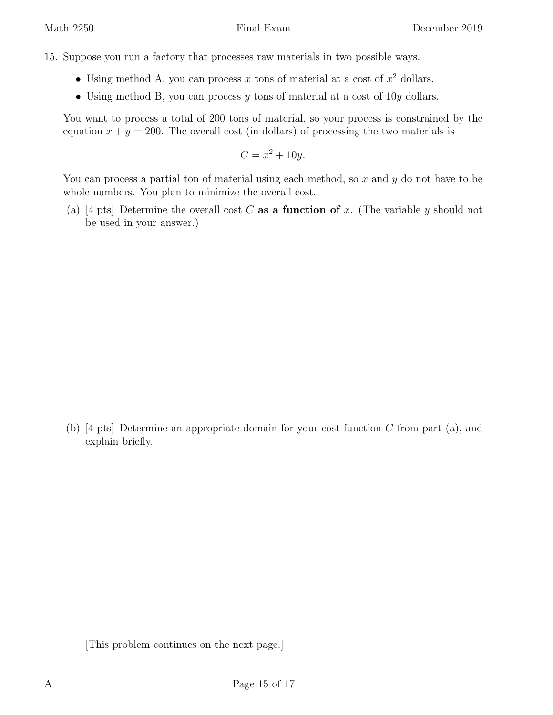- <span id="page-14-0"></span>15. Suppose you run a factory that processes raw materials in two possible ways.
	- Using method A, you can process x tons of material at a cost of  $x^2$  dollars.
	- Using method B, you can process y tons of material at a cost of  $10y$  dollars.

You want to process a total of 200 tons of material, so your process is constrained by the equation  $x + y = 200$ . The overall cost (in dollars) of processing the two materials is

$$
C = x^2 + 10y.
$$

You can process a partial ton of material using each method, so  $x$  and  $y$  do not have to be whole numbers. You plan to minimize the overall cost.

(a) [4 pts] Determine the overall cost C as a function of x. (The variable y should not be used in your answer.)

(b) [4 pts] Determine an appropriate domain for your cost function  $C$  from part (a), and explain briefly.

[This problem continues on the next page.]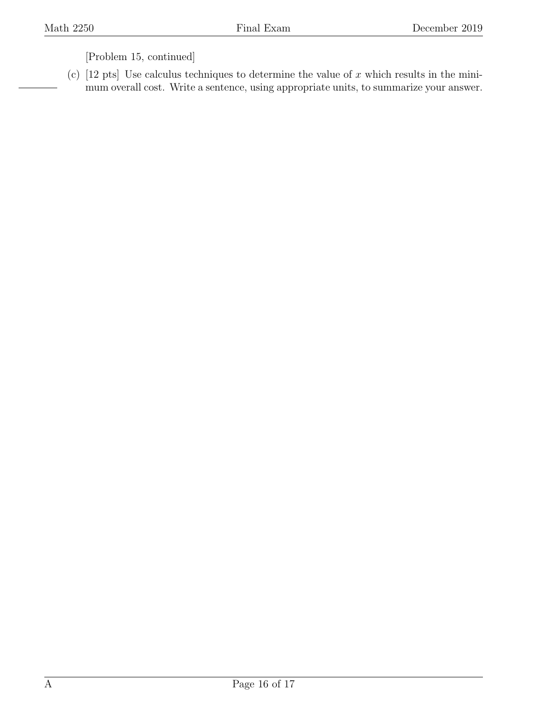[Problem 15, continued]

(c)  $[12 \text{ pts}]$  Use calculus techniques to determine the value of x which results in the minimum overall cost. Write a sentence, using appropriate units, to summarize your answer.